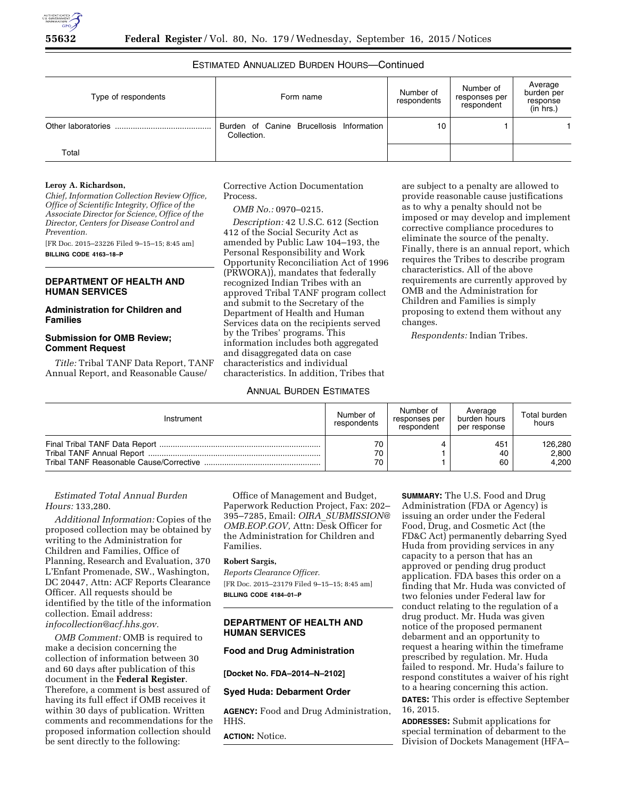# ESTIMATED ANNUALIZED BURDEN HOURS—Continued

| Type of respondents | Form name                                               | Number of<br>respondents | Number of<br>responses per<br>respondent | Average<br>burden per<br>response<br>(in hrs.) |
|---------------------|---------------------------------------------------------|--------------------------|------------------------------------------|------------------------------------------------|
|                     | Burden of Canine Brucellosis Information<br>Collection. | 10                       |                                          |                                                |
| Total               |                                                         |                          |                                          |                                                |

### **Leroy A. Richardson,**

*Chief, Information Collection Review Office, Office of Scientific Integrity, Office of the Associate Director for Science, Office of the Director, Centers for Disease Control and Prevention.* 

[FR Doc. 2015–23226 Filed 9–15–15; 8:45 am]

**BILLING CODE 4163–18–P** 

# **DEPARTMENT OF HEALTH AND HUMAN SERVICES**

# **Administration for Children and Families**

# **Submission for OMB Review; Comment Request**

*Title:* Tribal TANF Data Report, TANF Annual Report, and Reasonable Cause/

Corrective Action Documentation Process.

## *OMB No.:* 0970–0215.

*Description:* 42 U.S.C. 612 (Section 412 of the Social Security Act as amended by Public Law 104–193, the Personal Responsibility and Work Opportunity Reconciliation Act of 1996 (PRWORA)), mandates that federally recognized Indian Tribes with an approved Tribal TANF program collect and submit to the Secretary of the Department of Health and Human Services data on the recipients served by the Tribes' programs. This information includes both aggregated and disaggregated data on case characteristics and individual characteristics. In addition, Tribes that

are subject to a penalty are allowed to provide reasonable cause justifications as to why a penalty should not be imposed or may develop and implement corrective compliance procedures to eliminate the source of the penalty. Finally, there is an annual report, which requires the Tribes to describe program characteristics. All of the above requirements are currently approved by OMB and the Administration for Children and Families is simply proposing to extend them without any changes.

*Respondents:* Indian Tribes.

# ANNUAL BURDEN ESTIMATES

| Instrument | Number of<br>respondents | Number of<br>responses per<br>respondent | Average<br>burden hours<br>per response | Total burden<br>hours |
|------------|--------------------------|------------------------------------------|-----------------------------------------|-----------------------|
|            | 70                       |                                          | 451                                     | 126,280               |
|            | 70                       |                                          | 40                                      | 2,800                 |
|            | 70                       |                                          | 60                                      | 4.200                 |

# *Estimated Total Annual Burden Hours:* 133,280.

*Additional Information:* Copies of the proposed collection may be obtained by writing to the Administration for Children and Families, Office of Planning, Research and Evaluation, 370 L'Enfant Promenade, SW., Washington, DC 20447, Attn: ACF Reports Clearance Officer. All requests should be identified by the title of the information collection. Email address: *[infocollection@acf.hhs.gov.](mailto:infocollection@acf.hhs.gov)* 

*OMB Comment:* OMB is required to make a decision concerning the collection of information between 30 and 60 days after publication of this document in the **Federal Register**. Therefore, a comment is best assured of having its full effect if OMB receives it within 30 days of publication. Written comments and recommendations for the proposed information collection should be sent directly to the following:

Office of Management and Budget, Paperwork Reduction Project, Fax: 202– 395–7285, Email: *OIRA*\_*[SUBMISSION@](mailto:OIRA_SUBMISSION@OMB.EOP.GOV) [OMB.EOP.GOV,](mailto:OIRA_SUBMISSION@OMB.EOP.GOV)* Attn: Desk Officer for the Administration for Children and Families.

## **Robert Sargis,**

*Reports Clearance Officer.*  [FR Doc. 2015–23179 Filed 9–15–15; 8:45 am] **BILLING CODE 4184–01–P** 

# **DEPARTMENT OF HEALTH AND HUMAN SERVICES**

# **Food and Drug Administration**

## **[Docket No. FDA–2014–N–2102]**

## **Syed Huda: Debarment Order**

**AGENCY:** Food and Drug Administration, HHS.

**ACTION:** Notice.

**SUMMARY:** The U.S. Food and Drug Administration (FDA or Agency) is issuing an order under the Federal Food, Drug, and Cosmetic Act (the FD&C Act) permanently debarring Syed Huda from providing services in any capacity to a person that has an approved or pending drug product application. FDA bases this order on a finding that Mr. Huda was convicted of two felonies under Federal law for conduct relating to the regulation of a drug product. Mr. Huda was given notice of the proposed permanent debarment and an opportunity to request a hearing within the timeframe prescribed by regulation. Mr. Huda failed to respond. Mr. Huda's failure to respond constitutes a waiver of his right to a hearing concerning this action.

**DATES:** This order is effective September 16, 2015.

**ADDRESSES:** Submit applications for special termination of debarment to the Division of Dockets Management (HFA–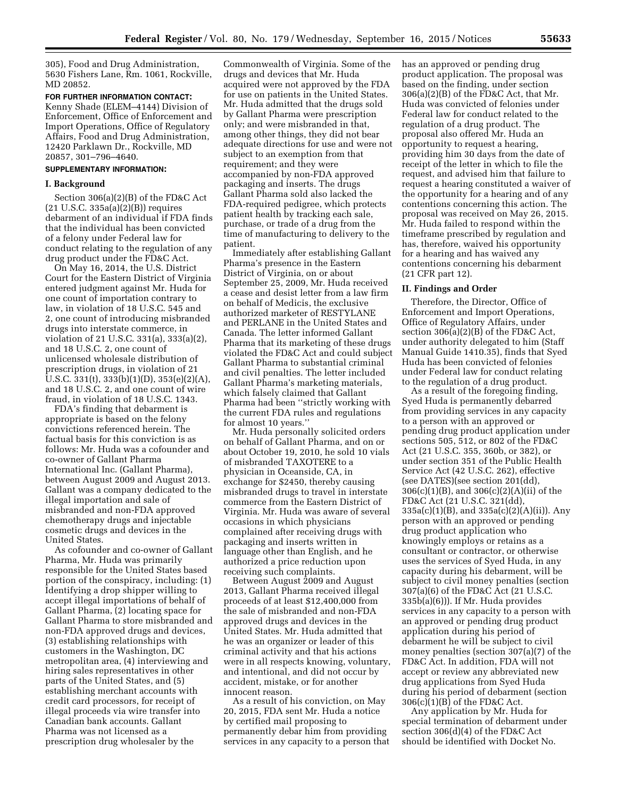305), Food and Drug Administration, 5630 Fishers Lane, Rm. 1061, Rockville, MD 20852.

# **FOR FURTHER INFORMATION CONTACT:**

Kenny Shade (ELEM–4144) Division of Enforcement, Office of Enforcement and Import Operations, Office of Regulatory Affairs, Food and Drug Administration, 12420 Parklawn Dr., Rockville, MD 20857, 301–796–4640.

## **SUPPLEMENTARY INFORMATION:**

## **I. Background**

Section 306(a)(2)(B) of the FD&C Act (21 U.S.C. 335a(a)(2)(B)) requires debarment of an individual if FDA finds that the individual has been convicted of a felony under Federal law for conduct relating to the regulation of any drug product under the FD&C Act.

On May 16, 2014, the U.S. District Court for the Eastern District of Virginia entered judgment against Mr. Huda for one count of importation contrary to law, in violation of 18 U.S.C. 545 and 2, one count of introducing misbranded drugs into interstate commerce, in violation of 21 U.S.C. 331(a), 333(a)(2), and 18 U.S.C. 2, one count of unlicensed wholesale distribution of prescription drugs, in violation of 21 U.S.C. 331(t), 333(b)(1)(D), 353(e)(2)(A), and 18 U.S.C. 2, and one count of wire fraud, in violation of 18 U.S.C. 1343.

FDA's finding that debarment is appropriate is based on the felony convictions referenced herein. The factual basis for this conviction is as follows: Mr. Huda was a cofounder and co-owner of Gallant Pharma International Inc. (Gallant Pharma), between August 2009 and August 2013. Gallant was a company dedicated to the illegal importation and sale of misbranded and non-FDA approved chemotherapy drugs and injectable cosmetic drugs and devices in the United States.

As cofounder and co-owner of Gallant Pharma, Mr. Huda was primarily responsible for the United States based portion of the conspiracy, including: (1) Identifying a drop shipper willing to accept illegal importations of behalf of Gallant Pharma, (2) locating space for Gallant Pharma to store misbranded and non-FDA approved drugs and devices, (3) establishing relationships with customers in the Washington, DC metropolitan area, (4) interviewing and hiring sales representatives in other parts of the United States, and (5) establishing merchant accounts with credit card processors, for receipt of illegal proceeds via wire transfer into Canadian bank accounts. Gallant Pharma was not licensed as a prescription drug wholesaler by the

Commonwealth of Virginia. Some of the drugs and devices that Mr. Huda acquired were not approved by the FDA for use on patients in the United States. Mr. Huda admitted that the drugs sold by Gallant Pharma were prescription only; and were misbranded in that, among other things, they did not bear adequate directions for use and were not subject to an exemption from that requirement; and they were accompanied by non-FDA approved packaging and inserts. The drugs Gallant Pharma sold also lacked the FDA-required pedigree, which protects patient health by tracking each sale, purchase, or trade of a drug from the time of manufacturing to delivery to the patient.

Immediately after establishing Gallant Pharma's presence in the Eastern District of Virginia, on or about September 25, 2009, Mr. Huda received a cease and desist letter from a law firm on behalf of Medicis, the exclusive authorized marketer of RESTYLANE and PERLANE in the United States and Canada. The letter informed Gallant Pharma that its marketing of these drugs violated the FD&C Act and could subject Gallant Pharma to substantial criminal and civil penalties. The letter included Gallant Pharma's marketing materials, which falsely claimed that Gallant Pharma had been ''strictly working with the current FDA rules and regulations for almost 10 years.''

Mr. Huda personally solicited orders on behalf of Gallant Pharma, and on or about October 19, 2010, he sold 10 vials of misbranded TAXOTERE to a physician in Oceanside, CA, in exchange for \$2450, thereby causing misbranded drugs to travel in interstate commerce from the Eastern District of Virginia. Mr. Huda was aware of several occasions in which physicians complained after receiving drugs with packaging and inserts written in language other than English, and he authorized a price reduction upon receiving such complaints.

Between August 2009 and August 2013, Gallant Pharma received illegal proceeds of at least \$12,400,000 from the sale of misbranded and non-FDA approved drugs and devices in the United States. Mr. Huda admitted that he was an organizer or leader of this criminal activity and that his actions were in all respects knowing, voluntary, and intentional, and did not occur by accident, mistake, or for another innocent reason.

As a result of his conviction, on May 20, 2015, FDA sent Mr. Huda a notice by certified mail proposing to permanently debar him from providing services in any capacity to a person that has an approved or pending drug product application. The proposal was based on the finding, under section 306(a)(2)(B) of the FD&C Act, that Mr. Huda was convicted of felonies under Federal law for conduct related to the regulation of a drug product. The proposal also offered Mr. Huda an opportunity to request a hearing, providing him 30 days from the date of receipt of the letter in which to file the request, and advised him that failure to request a hearing constituted a waiver of the opportunity for a hearing and of any contentions concerning this action. The proposal was received on May 26, 2015. Mr. Huda failed to respond within the timeframe prescribed by regulation and has, therefore, waived his opportunity for a hearing and has waived any contentions concerning his debarment (21 CFR part 12).

### **II. Findings and Order**

Therefore, the Director, Office of Enforcement and Import Operations, Office of Regulatory Affairs, under section 306(a)(2)(B) of the FD&C Act, under authority delegated to him (Staff Manual Guide 1410.35), finds that Syed Huda has been convicted of felonies under Federal law for conduct relating to the regulation of a drug product.

As a result of the foregoing finding, Syed Huda is permanently debarred from providing services in any capacity to a person with an approved or pending drug product application under sections 505, 512, or 802 of the FD&C Act (21 U.S.C. 355, 360b, or 382), or under section 351 of the Public Health Service Act (42 U.S.C. 262), effective (see DATES)(see section 201(dd), 306(c)(1)(B), and 306(c)(2)(A)(ii) of the FD&C Act (21 U.S.C. 321(dd), 335a(c)(1)(B), and 335a(c)(2)(A)(ii)). Any person with an approved or pending drug product application who knowingly employs or retains as a consultant or contractor, or otherwise uses the services of Syed Huda, in any capacity during his debarment, will be subject to civil money penalties (section 307(a)(6) of the FD&C Act (21 U.S.C. 335b(a)(6))). If Mr. Huda provides services in any capacity to a person with an approved or pending drug product application during his period of debarment he will be subject to civil money penalties (section 307(a)(7) of the FD&C Act. In addition, FDA will not accept or review any abbreviated new drug applications from Syed Huda during his period of debarment (section 306(c)(1)(B) of the FD&C Act.

Any application by Mr. Huda for special termination of debarment under section 306(d)(4) of the FD&C Act should be identified with Docket No.